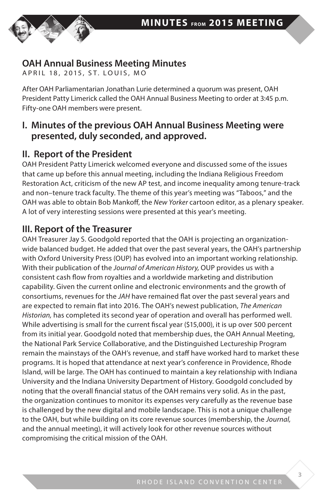

## **OAH Annual Business Meeting Minutes**

APRIL 18, 2015, ST. LOUIS, MO

After OAH Parliamentarian Jonathan Lurie determined a quorum was present, OAH President Patty Limerick called the OAH Annual Business Meeting to order at 3:45 p.m. Fifty-one OAH members were present.

### **I. Minutes of the previous OAH Annual Business Meeting were presented, duly seconded, and approved.**

## **II. Report of the President**

OAH President Patty Limerick welcomed everyone and discussed some of the issues that came up before this annual meeting, including the Indiana Religious Freedom Restoration Act, criticism of the new AP test, and income inequality among tenure-track and non–tenure track faculty. The theme of this year's meeting was "Taboos," and the OAH was able to obtain Bob Mankoff, the *New Yorker* cartoon editor, as a plenary speaker. A lot of very interesting sessions were presented at this year's meeting.

## **III. Report of the Treasurer**

OAH Treasurer Jay S. Goodgold reported that the OAH is projecting an organizationwide balanced budget. He added that over the past several years, the OAH's partnership with Oxford University Press (OUP) has evolved into an important working relationship. With their publication of the *Journal of American History,* OUP provides us with a consistent cash flow from royalties and a worldwide marketing and distribution capability. Given the current online and electronic environments and the growth of consortiums, revenues for the *JAH* have remained flat over the past several years and are expected to remain flat into 2016. The OAH's newest publication, *The American Historian,* has completed its second year of operation and overall has performed well. While advertising is small for the current fiscal year (\$15,000), it is up over 500 percent from its initial year. Goodgold noted that membership dues, the OAH Annual Meeting, the National Park Service Collaborative, and the Distinguished Lectureship Program remain the mainstays of the OAH's revenue, and staff have worked hard to market these programs. It is hoped that attendance at next year's conference in Providence, Rhode Island, will be large. The OAH has continued to maintain a key relationship with Indiana University and the Indiana University Department of History. Goodgold concluded by noting that the overall financial status of the OAH remains very solid. As in the past, the organization continues to monitor its expenses very carefully as the revenue base is challenged by the new digital and mobile landscape. This is not a unique challenge to the OAH, but while building on its core revenue sources (membership, the *Journal,* and the annual meeting), it will actively look for other revenue sources without compromising the critical mission of the OAH.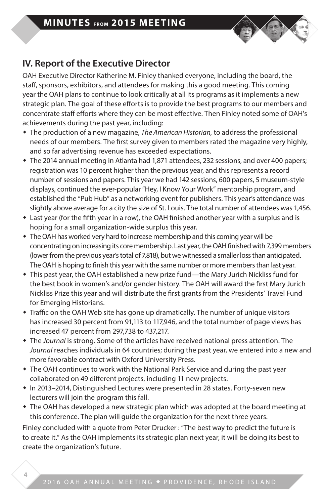

# **IV. Report of the Executive Director**

OAH Executive Director Katherine M. Finley thanked everyone, including the board, the staff, sponsors, exhibitors, and attendees for making this a good meeting. This coming year the OAH plans to continue to look critically at all its programs as it implements a new strategic plan. The goal of these efforts is to provide the best programs to our members and concentrate staff efforts where they can be most effective. Then Finley noted some of OAH's achievements during the past year, including:

- w The production of a new magazine, *The American Historian,* to address the professional needs of our members. The first survey given to members rated the magazine very highly, and so far advertising revenue has exceeded expectations.
- w The 2014 annual meeting in Atlanta had 1,871 attendees, 232 sessions, and over 400 papers; registration was 10 percent higher than the previous year, and this represents a record number of sessions and papers. This year we had 142 sessions, 600 papers, 5 museum-style displays, continued the ever-popular "Hey, I Know Your Work" mentorship program, and established the "Pub Hub" as a networking event for publishers. This year's attendance was slightly above average for a city the size of St. Louis. The total number of attendees was 1,456.
- Last year (for the fifth year in a row), the OAH finished another year with a surplus and is hoping for a small organization-wide surplus this year.
- The OAH has worked very hard to increase membership and this coming year will be concentrating on increasing its core membership. Last year, the OAH finished with 7,399 members (lower from the previous year's total of 7,818), but we witnessed a smaller loss than anticipated. The OAH is hoping to finish this year with the same number or more members than last year.
- \* This past year, the OAH established a new prize fund—the Mary Jurich Nickliss fund for the best book in women's and/or gender history. The OAH will award the first Mary Jurich Nickliss Prize this year and will distribute the first grants from the Presidents' Travel Fund for Emerging Historians.
- Traffic on the OAH Web site has gone up dramatically. The number of unique visitors has increased 30 percent from 91,113 to 117,946, and the total number of page views has increased 47 percent from 297,738 to 437,217.
- w The *Journal* is strong. Some of the articles have received national press attention. The *Journal* reaches individuals in 64 countries; during the past year, we entered into a new and more favorable contract with Oxford University Press.
- The OAH continues to work with the National Park Service and during the past year collaborated on 49 different projects, including 11 new projects.
- In 2013–2014, Distinguished Lectures were presented in 28 states. Forty-seven new lecturers will join the program this fall.
- The OAH has developed a new strategic plan which was adopted at the board meeting at this conference. The plan will guide the organization for the next three years.

Finley concluded with a quote from Peter Drucker : "The best way to predict the future is to create it." As the OAH implements its strategic plan next year, it will be doing its best to create the organization's future.

**4**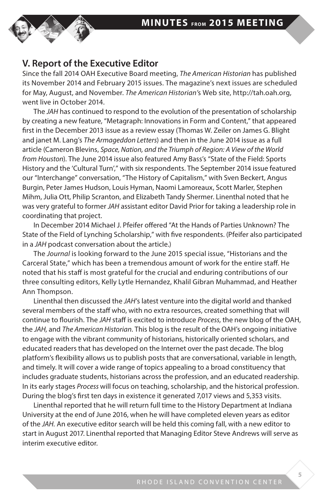

### **V. Report of the Executive Editor**

Since the fall 2014 OAH Executive Board meeting, *The American Historian* has published its November 2014 and February 2015 issues. The magazine's next issues are scheduled for May, August, and November. *The American Historian'*s Web site, http://tah.oah.org, went live in October 2014.

The *JAH* has continued to respond to the evolution of the presentation of scholarship by creating a new feature, "Metagraph: Innovations in Form and Content," that appeared first in the December 2013 issue as a review essay (Thomas W. Zeiler on James G. Blight and janet M. Lang's *The Armageddon Letters*) and then in the June 2014 issue as a full article (Cameron Blevins, *Space, Nation, and the Triumph of Region: A View of the World from Houston*). The June 2014 issue also featured Amy Bass's "State of the Field: Sports History and the 'Cultural Turn'," with six respondents. The September 2014 issue featured our "Interchange" conversation, "The History of Capitalism," with Sven Beckert, Angus Burgin, Peter James Hudson, Louis Hyman, Naomi Lamoreaux, Scott Marler, Stephen Mihm, Julia Ott, Philip Scranton, and Elizabeth Tandy Shermer. Linenthal noted that he was very grateful to former *JAH* assistant editor David Prior for taking a leadership role in coordinating that project.

In December 2014 Michael J. Pfeifer offered "At the Hands of Parties Unknown? The State of the Field of Lynching Scholarship," with five respondents. (Pfeifer also participated in a *JAH* podcast conversation about the article.)

The *Journal* is looking forward to the June 2015 special issue, "Historians and the Carceral State," which has been a tremendous amount of work for the entire staff. He noted that his staff is most grateful for the crucial and enduring contributions of our three consulting editors, Kelly Lytle Hernandez, Khalil Gibran Muhammad, and Heather Ann Thompson.

Linenthal then discussed the *JAH*'s latest venture into the digital world and thanked several members of the staff who, with no extra resources, created something that will continue to flourish. The *JAH* staff is excited to introduce *Process,* the new blog of the OAH, the *JAH,* and *The American Historian*. This blog is the result of the OAH's ongoing initiative to engage with the vibrant community of historians, historically oriented scholars, and educated readers that has developed on the Internet over the past decade. The blog platform's flexibility allows us to publish posts that are conversational, variable in length, and timely. It will cover a wide range of topics appealing to a broad constituency that includes graduate students, historians across the profession, and an educated readership. In its early stages *Process* will focus on teaching, scholarship, and the historical profession. During the blog's first ten days in existence it generated 7,017 views and 5,353 visits.

Linenthal reported that he will return full time to the History Department at Indiana University at the end of June 2016, when he will have completed eleven years as editor of the *JAH.* An executive editor search will be held this coming fall, with a new editor to start in August 2017. Linenthal reported that Managing Editor Steve Andrews will serve as interim executive editor.